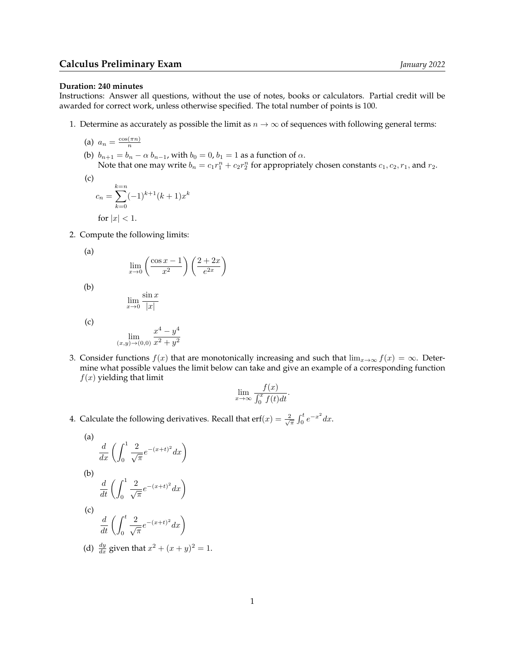## **Duration: 240 minutes**

Instructions: Answer all questions, without the use of notes, books or calculators. Partial credit will be awarded for correct work, unless otherwise specified. The total number of points is 100.

1. Determine as accurately as possible the limit as  $n \to \infty$  of sequences with following general terms:

$$
(a) \ \ a_n = \frac{\cos(\pi n)}{n}
$$

(b)  $b_{n+1} = b_n - \alpha b_{n-1}$ , with  $b_0 = 0$ ,  $b_1 = 1$  as a function of  $\alpha$ . Note that one may write  $b_n = c_1 r_1^n + c_2 r_2^n$  for appropriately chosen constants  $c_1, c_2, r_1$ , and  $r_2$ .

(c)  
\n
$$
c_n = \sum_{k=0}^{k=n} (-1)^{k+1} (k+1) x^k
$$
\nfor  $|x| < 1$ .

2. Compute the following limits:

(a)

$$
\lim_{x \to 0} \left( \frac{\cos x - 1}{x^2} \right) \left( \frac{2 + 2x}{e^{2x}} \right)
$$

$$
(\mathrm{b})
$$

$$
\lim_{x \to 0} \frac{\sin x}{|x|}
$$

(c)

$$
\lim_{(x,y)\to(0,0)}\frac{x^4-y^4}{x^2+y^2}
$$

3. Consider functions  $f(x)$  that are monotonically increasing and such that  $\lim_{x\to\infty} f(x) = \infty$ . Determine what possible values the limit below can take and give an example of a corresponding function  $f(x)$  yielding that limit

$$
\lim_{x \to \infty} \frac{f(x)}{\int_0^x f(t)dt}.
$$

4. Calculate the following derivatives. Recall that  $\mathrm{erf}(x) = \frac{2}{\sqrt{\pi}} \int_0^t e^{-x^2} dx$ .

(a)  
\n
$$
\frac{d}{dx} \left( \int_0^1 \frac{2}{\sqrt{\pi}} e^{-(x+t)^2} dx \right)
$$
\n(b)  
\n
$$
\frac{d}{dt} \left( \int_0^1 \frac{2}{\sqrt{\pi}} e^{-(x+t)^2} dx \right)
$$
\n(c)  
\n
$$
\frac{d}{dt} \left( \int_0^t \frac{2}{\sqrt{\pi}} e^{-(x+t)^2} dx \right)
$$

(d)  $\frac{dy}{dx}$  given that  $x^2 + (x + y)^2 = 1$ .